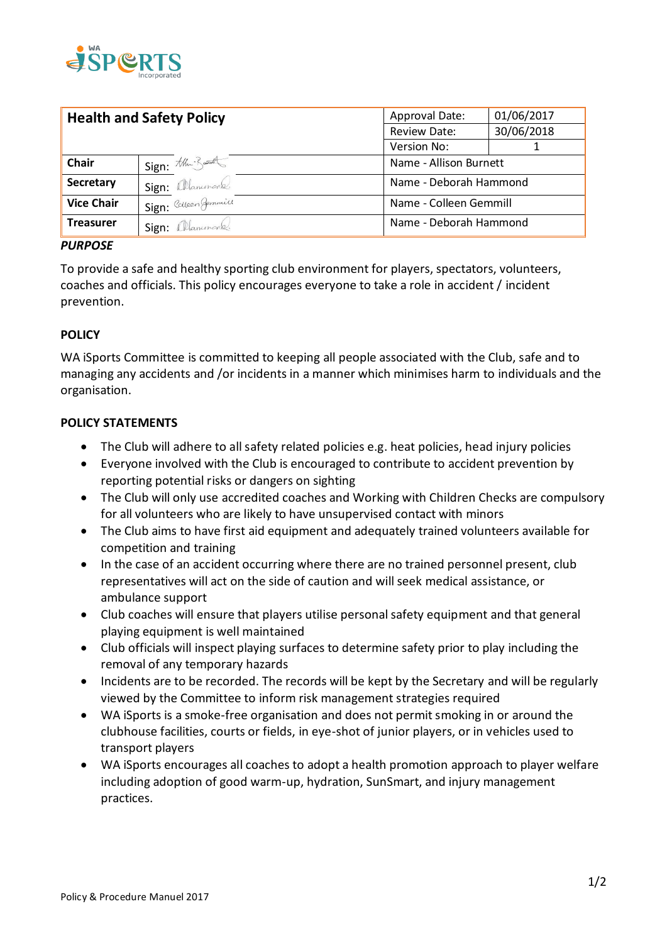

| <b>Health and Safety Policy</b> |                       | Approval Date:         | 01/06/2017 |
|---------------------------------|-----------------------|------------------------|------------|
|                                 |                       | Review Date:           | 30/06/2018 |
|                                 |                       | Version No:            |            |
| <b>Chair</b>                    | Sign: the Bundles     | Name - Allison Burnett |            |
| <b>Secretary</b>                | Sign: allammond.      | Name - Deborah Hammond |            |
| <b>Vice Chair</b>               | Sign: Colleen Gemmill | Name - Colleen Gemmill |            |
| <b>Treasurer</b>                | Sign: Manumond        | Name - Deborah Hammond |            |

### *PURPOSE*

To provide a safe and healthy sporting club environment for players, spectators, volunteers, coaches and officials. This policy encourages everyone to take a role in accident / incident prevention.

### **POLICY**

WA iSports Committee is committed to keeping all people associated with the Club, safe and to managing any accidents and /or incidents in a manner which minimises harm to individuals and the organisation.

### **POLICY STATEMENTS**

- The Club will adhere to all safety related policies e.g. heat policies, head injury policies
- Everyone involved with the Club is encouraged to contribute to accident prevention by reporting potential risks or dangers on sighting
- The Club will only use accredited coaches and Working with Children Checks are compulsory for all volunteers who are likely to have unsupervised contact with minors
- The Club aims to have first aid equipment and adequately trained volunteers available for competition and training
- In the case of an accident occurring where there are no trained personnel present, club representatives will act on the side of caution and will seek medical assistance, or ambulance support
- Club coaches will ensure that players utilise personal safety equipment and that general playing equipment is well maintained
- Club officials will inspect playing surfaces to determine safety prior to play including the removal of any temporary hazards
- Incidents are to be recorded. The records will be kept by the Secretary and will be regularly viewed by the Committee to inform risk management strategies required
- WA iSports is a smoke-free organisation and does not permit smoking in or around the clubhouse facilities, courts or fields, in eye-shot of junior players, or in vehicles used to transport players
- WA iSports encourages all coaches to adopt a health promotion approach to player welfare including adoption of good warm-up, hydration, SunSmart, and injury management practices.